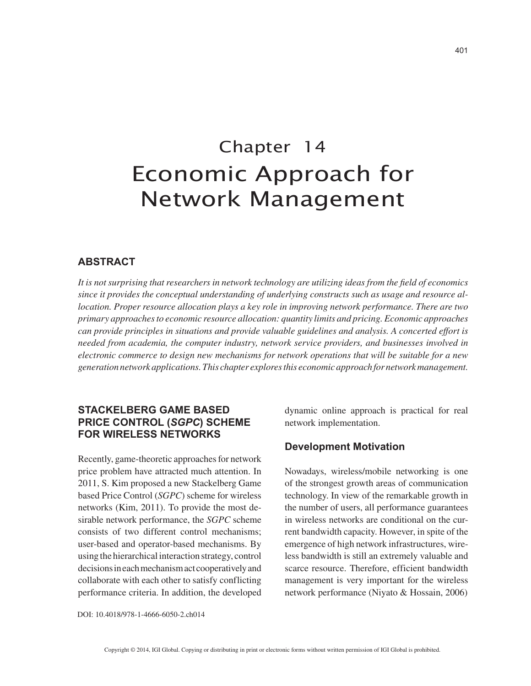# Chapter 14 Economic Approach for Network Management

## **ABSTRACT**

*It is not surprising that researchers in network technology are utilizing ideas from the field of economics since it provides the conceptual understanding of underlying constructs such as usage and resource allocation. Proper resource allocation plays a key role in improving network performance. There are two primary approaches to economic resource allocation: quantity limits and pricing. Economic approaches can provide principles in situations and provide valuable guidelines and analysis. A concerted effort is needed from academia, the computer industry, network service providers, and businesses involved in electronic commerce to design new mechanisms for network operations that will be suitable for a new generation network applications. This chapter explores this economic approach for network management.*

# **STACKELBERG GAME BASED PRICE CONTROL (***SGPC***) SCHEME FOR WIRELESS NETWORKS**

Recently, game-theoretic approaches for network price problem have attracted much attention. In 2011, S. Kim proposed a new Stackelberg Game based Price Control (*SGPC*) scheme for wireless networks (Kim, 2011). To provide the most desirable network performance, the *SGPC* scheme consists of two different control mechanisms; user-based and operator-based mechanisms. By using the hierarchical interaction strategy, control decisions in each mechanism act cooperatively and collaborate with each other to satisfy conflicting performance criteria. In addition, the developed

DOI: 10.4018/978-1-4666-6050-2.ch014

dynamic online approach is practical for real network implementation.

#### **Development Motivation**

Nowadays, wireless/mobile networking is one of the strongest growth areas of communication technology. In view of the remarkable growth in the number of users, all performance guarantees in wireless networks are conditional on the current bandwidth capacity. However, in spite of the emergence of high network infrastructures, wireless bandwidth is still an extremely valuable and scarce resource. Therefore, efficient bandwidth management is very important for the wireless network performance (Niyato & Hossain, 2006)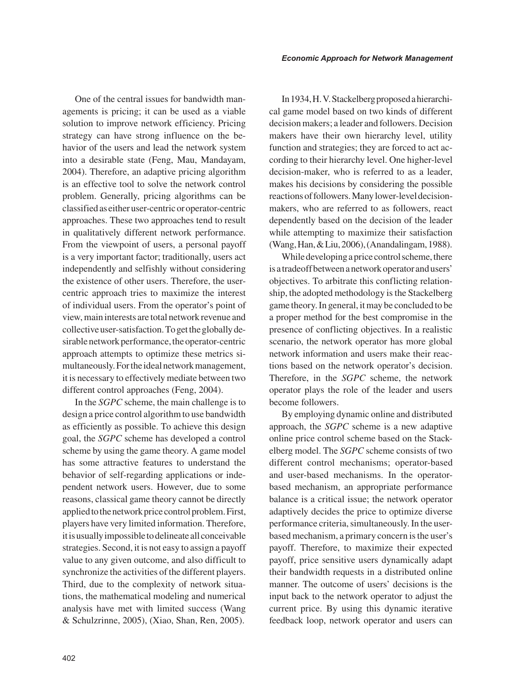One of the central issues for bandwidth managements is pricing; it can be used as a viable solution to improve network efficiency. Pricing strategy can have strong influence on the behavior of the users and lead the network system into a desirable state (Feng, Mau, Mandayam, 2004). Therefore, an adaptive pricing algorithm is an effective tool to solve the network control problem. Generally, pricing algorithms can be classified as either user-centric or operator-centric approaches. These two approaches tend to result in qualitatively different network performance. From the viewpoint of users, a personal payoff is a very important factor; traditionally, users act independently and selfishly without considering the existence of other users. Therefore, the usercentric approach tries to maximize the interest of individual users. From the operator's point of view, main interests are total network revenue and collective user-satisfaction. To get the globally desirable network performance, the operator-centric approach attempts to optimize these metrics simultaneously. For the ideal network management, it is necessary to effectively mediate between two different control approaches (Feng, 2004).

In the *SGPC* scheme, the main challenge is to design a price control algorithm to use bandwidth as efficiently as possible. To achieve this design goal, the *SGPC* scheme has developed a control scheme by using the game theory. A game model has some attractive features to understand the behavior of self-regarding applications or independent network users. However, due to some reasons, classical game theory cannot be directly applied to the network price control problem. First, players have very limited information. Therefore, it is usually impossible to delineate all conceivable strategies. Second, it is not easy to assign a payoff value to any given outcome, and also difficult to synchronize the activities of the different players. Third, due to the complexity of network situations, the mathematical modeling and numerical analysis have met with limited success (Wang & Schulzrinne, 2005), (Xiao, Shan, Ren, 2005).

In 1934, H. V. Stackelberg proposed a hierarchical game model based on two kinds of different decision makers; a leader and followers. Decision makers have their own hierarchy level, utility function and strategies; they are forced to act according to their hierarchy level. One higher-level decision-maker, who is referred to as a leader, makes his decisions by considering the possible reactions of followers. Many lower-level decisionmakers, who are referred to as followers, react dependently based on the decision of the leader while attempting to maximize their satisfaction (Wang, Han, & Liu, 2006), (Anandalingam, 1988).

While developing a price control scheme, there is a tradeoff between a network operator and users' objectives. To arbitrate this conflicting relationship, the adopted methodology is the Stackelberg game theory. In general, it may be concluded to be a proper method for the best compromise in the presence of conflicting objectives. In a realistic scenario, the network operator has more global network information and users make their reactions based on the network operator's decision. Therefore, in the *SGPC* scheme, the network operator plays the role of the leader and users become followers.

By employing dynamic online and distributed approach, the *SGPC* scheme is a new adaptive online price control scheme based on the Stackelberg model. The *SGPC* scheme consists of two different control mechanisms; operator-based and user-based mechanisms. In the operatorbased mechanism, an appropriate performance balance is a critical issue; the network operator adaptively decides the price to optimize diverse performance criteria, simultaneously. In the userbased mechanism, a primary concern is the user's payoff. Therefore, to maximize their expected payoff, price sensitive users dynamically adapt their bandwidth requests in a distributed online manner. The outcome of users' decisions is the input back to the network operator to adjust the current price. By using this dynamic iterative feedback loop, network operator and users can